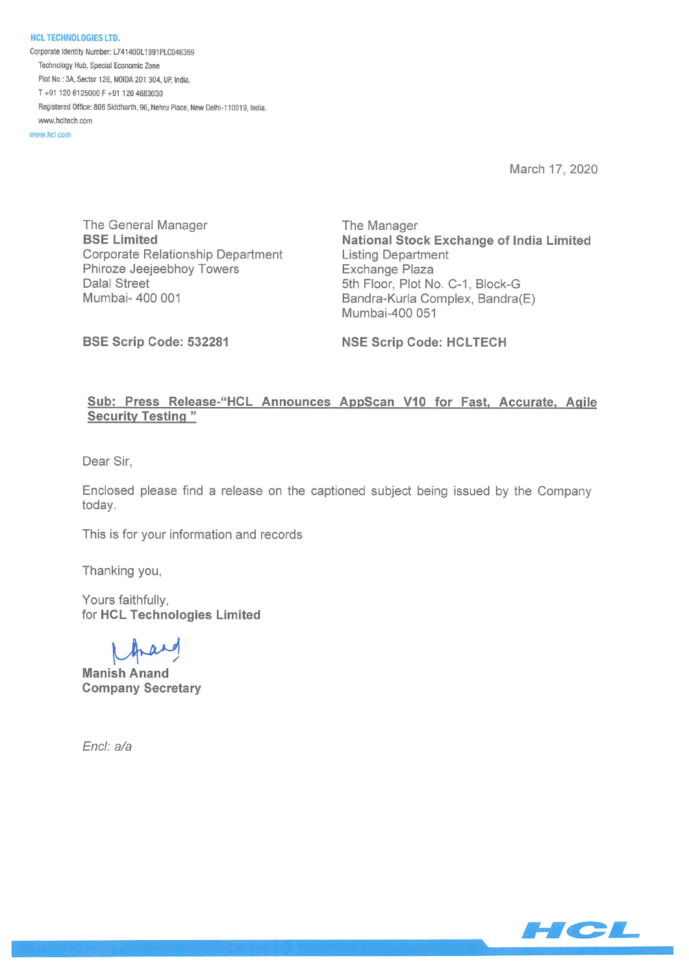HCL TECHNOLOGIES LTD. Corporate Identity Number: L74140DL1991PLC046369 Technology Hub, Special Economic Zone Plot No: 3A, Sector 126, NOIDA 201 304, UP, India. T+91 1206125000F+91 1204663030 Registered Office: 806 Siddharth, 96, Nehru Place, New Delhi-110019, India. mw,.hcltech,com

www.hcl.com

March 17, 2020

The General Manager The Manager Corporate Relationship Department Listing Department Phiroze Jeejeebhoy Towers **Exchange Plaza** Dalal Street 5th Floor, Plot No. C-1, Block-G

BSE Limited National Stock Exchange of India Limited Mumbai- 400 001 **Bandra-Kurla Complex, Bandra**(E) Mumbai-400 051

BSE Scrip Code: 532281 NSE Scrip Code: HCLTECH

## Sub: Press Release-"HCL Announces AppScan V10 for Fast, Accurate, Agile Security Testing"

Dear Sir,

Enclosed please find a release on the captioned subject being issued by the Company today.

This is for your information and records

Thanking you,

Yours faithfully, for HCL Technologies Limited

Manish Anand Company Secretary

Encl: a/a

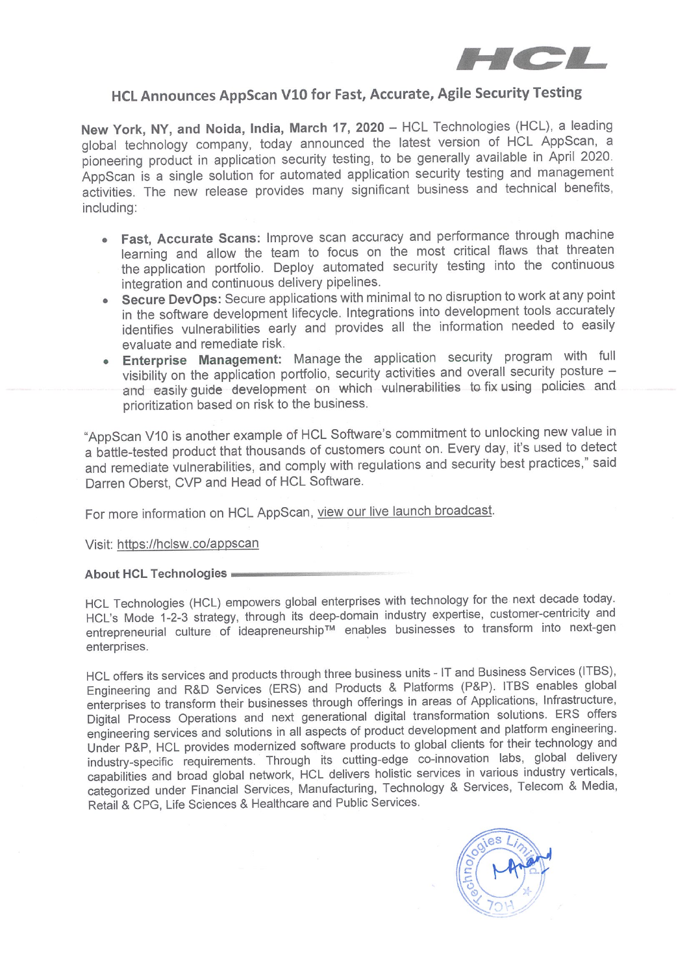

## HCL Announces AppScan V10 for Fast, Accurate, Agile Security Testing

New York, NY, and Noida, India, March 17, 2020 — HCL Technologies (HCL), a leading global technology company, today announced the latest version of HCL AppScan, a pioneering product in application security testing, to be generally available in April 2020. AppScan is a single solution for automated application security testing and management activities. The new release provides many significant business and technical benefits, including:

- Fast, Accurate Scans: Improve scan accuracy and performance through machine learning and allow the team to focus on the most critical flaws that threaten the application portfolio. Deploy automated security testing into the continuous integration and continuous delivery pipelines.
- Secure DevOps: Secure applications with minimal to no disruption to work at any point in the software development lifecycle. Integrations into development tools accurately identifies vulnerabilities early and provides all the information needed to easily evaluate and remediate risk.
- Enterprise Management: Manage the application security program with full visibility on the application portfolio, security activities and overall security posture and easily guide development on which vulnerabilities to fix using policies and prioritization based on risk to the business.

"AppScan V10 is another example of HCL Software's commitment to unlocking new value in a battle-tested product that thousands of customers count on. Every day, it's used to detect and remediate vulnerabilities, and comply with regulations and security best practices," said Darren Oberst, GyP and Head of HCL Software.

For more information on HCL AppScan, view our live launch broadcast.

Visit: https://hclsw.co/appscan

## About HCL Technologies

HCL Technologies (HCL) empowers global enterprises with technology for the next decade today. HCL's Mode 1-2-3 strategy, through its deep-domain industry expertise, customer-centricity and entrepreneurial culture of ideapreneurship™ enables businesses to transform into next-gen enterprises.

HCL offers its services and products through three business units - IT and Business Services (ITBS), Engineering and R&D Services (ERS) and Products & Platforms (P&P). ITBS enables global enterprises to transform their businesses through offerings in areas of Applications, Infrastructure, Digital Process Operations and next generational digital transformation solutions. ERS offers engineering services and solutions in all aspects of product development and platform engineering. Under P&P, HCL provides modernized software products to global clients for their technology and industry-specific requirements. Through its cutting-edge co-innovation labs, global delivery capabilities and broad global network, HCL delivers holistic services in various industry verticals, categorized under Financial Services, Manufacturing, Technology & Services, Telecom & Media, Retail & CPG, Life Sciences & Healthcare and Public Services.